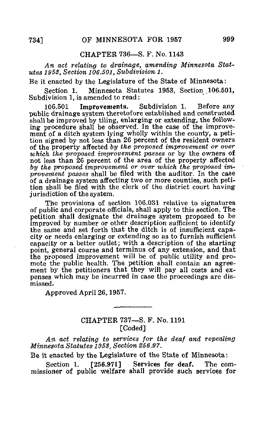## CHAPTER 736—S. F. No. 1143

An act relating to drainage, amending Minnesota Statutes 1953, Section 106.501. Subdivision 1.

Be it enacted by the Legislature of the State of Minnesota:

Section 1. Minnesota Statutes 1953, Section 106.501, Subdivision 1, is amended to read:

106.501 Improvements. Subdivision 1. Before any public drainage system theretofore established and constructed shall be improved by tiling, enlarging or extending, the following procedure shall be observed. In the case of the improvement of a ditch system lying wholly within the county, a petition signed by not less than 26 percent of the resident owners of the property affected by the proposed improvement or over which the proposed improvement passes or by the owners of not less than 26 percent of the area of the property affected by the proposed improvement or over which the proposed improvement passes shall be filed with the auditor. In the case of a drainage system affecting two or more counties, such petition shall be filed with the clerk of the district court having jurisdiction of the system.

The provisions of section 106.031 relative to signatures of public and corporate officials, shall apply to this section. The petition shall designate the drainage system proposed to be improved by number or other description sufficient to identify the same and set forth that the ditch is of insufficient capacity or needs enlarging or extending so as to furnish sufficient capacity or a better outlet; with a description of the starting point, general course and terminus of any extension, and that the proposed improvement will be of public utility and promote the public health. The petition shall contain an agreement by the petitioners that they will pay all costs and expenses which may be incurred in case the proceedings are dismissed.

Approved April 26,1957.

## CHAPTER 737—S. F. No. 1191 [Coded]

An act relating to services for the deaf and repealing Minnesota Statutes 1953, Section 256.97.

Be it enacted by the Legislature of the State of Minnesota:

Section 1. [256.971] Services for deaf. The commissioner of public welfare shall provide such services for